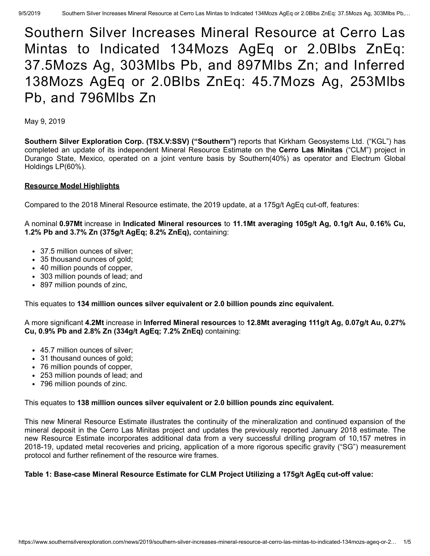# Southern Silver Increases Mineral Resource at Cerro Las Mintas to Indicated 134Mozs AgEq or 2.0Blbs ZnEq: 37.5Mozs Ag, 303Mlbs Pb, and 897Mlbs Zn; and Inferred 138Mozs AgEq or 2.0Blbs ZnEq: 45.7Mozs Ag, 253Mlbs Pb, and 796Mlbs Zn

May 9, 2019

**Southern Silver Exploration Corp. (TSX.V:SSV) ("Southern")** reports that Kirkham Geosystems Ltd. ("KGL") has completed an update of its independent Mineral Resource Estimate on the **Cerro Las Minitas** ("CLM") project in Durango State, Mexico, operated on a joint venture basis by Southern(40%) as operator and Electrum Global Holdings LP(60%).

## **Resource Model Highlights**

Compared to the 2018 Mineral Resource estimate, the 2019 update, at a 175g/t AgEq cut-off, features:

A nominal **0.97Mt** increase in **Indicated Mineral resources** to **11.1Mt averaging 105g/t Ag, 0.1g/t Au, 0.16% Cu, 1.2% Pb and 3.7% Zn (375g/t AgEq; 8.2% ZnEq),** containing:

- 37.5 million ounces of silver;
- 35 thousand ounces of gold;
- 40 million pounds of copper,
- 303 million pounds of lead; and
- 897 million pounds of zinc,

This equates to **134 million ounces silver equivalent or 2.0 billion pounds zinc equivalent.**

A more significant **4.2Mt** increase in **Inferred Mineral resources** to **12.8Mt averaging 111g/t Ag, 0.07g/t Au, 0.27% Cu, 0.9% Pb and 2.8% Zn (334g/t AgEq; 7.2% ZnEq)** containing:

- 45.7 million ounces of silver;
- 31 thousand ounces of gold;
- 76 million pounds of copper,
- 253 million pounds of lead; and
- 796 million pounds of zinc.

### This equates to **138 million ounces silver equivalent or 2.0 billion pounds zinc equivalent.**

This new Mineral Resource Estimate illustrates the continuity of the mineralization and continued expansion of the mineral deposit in the Cerro Las Minitas project and updates the previously reported January 2018 estimate. The new Resource Estimate incorporates additional data from a very successful drilling program of 10,157 metres in 2018-19, updated metal recoveries and pricing, application of a more rigorous specific gravity ("SG") measurement protocol and further refinement of the resource wire frames.

## **Table 1: Base-case Mineral Resource Estimate for CLM Project Utilizing a 175g/t AgEq cut-off value:**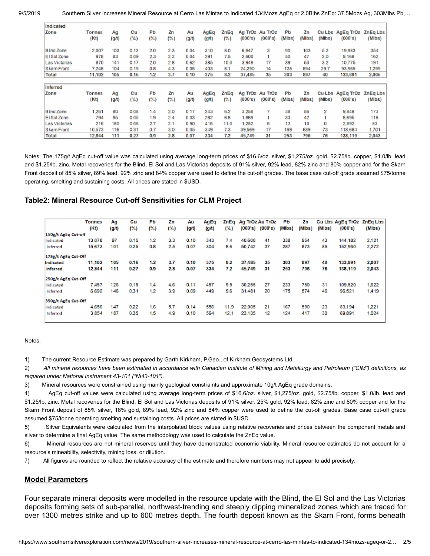| Indicated         |               |       |      |     |          |       |       |      |         |         |        |        |         |                  |          |
|-------------------|---------------|-------|------|-----|----------|-------|-------|------|---------|---------|--------|--------|---------|------------------|----------|
| Zone              | Tonnes        | Aq    | Cu   | Рb  | Zn       | Αu    | AgEq  | ZnEg | Ag TrOz | Au TrOz | Рb     | Zn     |         | Cu Lbs AgEq TrOz | ZnEq Lbs |
|                   | (Kt)          | (g/t) | (%)  | (%) | $( \% )$ | (g/t) | (g/t) | (%)  | (000's) | (000's) | (Mibs) | (MIbs) | (Mlbs)  | (000's)          | (Mibs)   |
| <b>Blind Zone</b> | 2,007         | 103   | 0.12 | 2.0 | 2.3      | 0.04  | 310   | 8.0  | 6,647   | з       | 90     | 103    | 5.2     | 19,983           | 354      |
| El Sol Zone       | 978           | 83    | 0.09 | 2.3 | 2.2      | 0.04  | 291   | 7.5  | 2,600   |         | 50     | 47     | 2.0     | 9.168            | 162      |
| Las Victorias     | 870           | 141   | 0.17 | 2.0 | 2.8      | 0.62  | 385   | 10.0 | 3.949   | 17      | 39     | 53     | 3.2     | 10.775           | 191      |
| Skarn Front       | 7.246         | 104   | 0.19 | 0.8 | 4.3      | 0.06  | 403   | 8.1  | 24.290  | 14      | 125    | 694    | 29.7    | 93.965           | 1.299    |
| <b>Total</b>      | 11.102        | 105   | 0.16 | 1.2 | 3.7      | 0.10  | 375   | 8.2  | 37,485  | 35      | 303    | 897    | 40      | 133,891          | 2,006    |
| Inferred          |               |       |      |     |          |       |       |      |         |         |        |        |         |                  |          |
| Zone              | <b>Tonnes</b> | Ag    | Cu   | PЬ  | Ζn       | Au    | AgEq  | ZnEq | Ag TrOz | Au Troz | Рb     | Zn     |         | Cu Lbs AgEq TrOz | ZnEq Lbs |
|                   | (Kt)          | (g/t) | (% ) | (%) | (%)      | (g/t) | (g/t) | (%)  | (000's) | (000's) | (Mibs) | (MIbs) | (Milbs) | (000's)          | (Mibs)   |
| <b>Blind Zone</b> | .261          | 80    | 0.08 | 1.4 | 2.0      | 0.17  | 243   | 62   | 3,258   |         | 38     | 56     | 2       | 9,848            | 173      |
| El Sol Zone       | 794           | 65    | 0.05 | 1.9 | 2.4      | 0.03  | 262   | 6.6  | 1,669   |         | 33     | 42     |         | 6,695            | 116      |
| Las Victorias     | 216           | 180   | 0.06 | 2.7 | 2.1      | 0.90  | 416   | 11.0 | 1,252   | 6       | 13     | 10     | o       | 2.892            | 53       |
| Skarn Front       | 10,573        | 116   | 0.31 | 0.7 | 3.0      | 0.05  | 349   | 7.3  | 39,569  | 17      | 169    | 689    | 73      | 118,684          | 1.701    |
| <b>Total</b>      | 12,844        | 111   | 0.27 | 0.9 | 2.8      | 0.07  | 334   | 7.2  | 45.749  | 31      | 253    | 796    | 76      | 138,119          | 2,043    |

Notes: The 175g/t AgEq cut-off value was calculated using average long-term prices of \$16.6/oz. silver, \$1,275/oz. gold, \$2.75/lb. copper, \$1.0/lb. lead and \$1.25/lb. zinc. Metal recoveries for the Blind, El Sol and Las Victorias deposits of 91% silver, 92% lead, 82% zinc and 80% copper and for the Skarn Front deposit of 85% silver, 89% lead, 92% zinc and 84% copper were used to define the cut-off grades. The base case cut-off grade assumed \$75/tonne operating, smelting and sustaining costs. All prices are stated in \$USD.

### **Table2: Mineral Resource Cut-off Sensitivities for CLM Project**

|                     | Tonnes | Aq    | Cu       | Рb       | Ζn   | Au    | AgEq | ZnEq | Ag TrOz Au TrOz |         | PЬ     | Ζn     |        | <b>Cu Lbs AgEg TrOz</b> | <b>ZnEg Lbs</b> |
|---------------------|--------|-------|----------|----------|------|-------|------|------|-----------------|---------|--------|--------|--------|-------------------------|-----------------|
|                     | (Kt)   | (g/t) | $( \% )$ | $( \% )$ | ( %) | (g/t) | (gA) | (%)  | (000's)         | (000's) | (Mibs) | (MIbs) | (Mibs) | (000's)                 | (Mibs)          |
| 150g/t AgEq Cut-off |        |       |          |          |      |       |      |      |                 |         |        |        |        |                         |                 |
| Indicated           | 13.078 | 97    | 0.15     | 1.2      | 3.3  | 0.10  | 343  | 74   | 40.600          | 41      | 338    | 954    | 43     | 144.182                 | 2.121           |
| Inferred            | 15,673 | 101   | 0.25     | 0.8      | 2.5  | 0.07  | 304  | 6.6  | 50,742          | 37      | 287    | 873    | 86     | 152,960                 | 2,272           |
| 175g/t AgEq Cut-Off |        |       |          |          |      |       |      |      |                 |         |        |        |        |                         |                 |
| Indicated           | 11,102 | 105   | 0.16     | 1.2      | 3.7  | 0.10  | 375  | 8.2  | 37,485          | 35      | 303    | 897    | 40     | 133,891                 | 2,007           |
| <b>Inferred</b>     | 12,844 | 111   | 0.27     | 0.9      | 2.8  | 0.07  | 334  | 72   | 45.749          | 31      | 253    | 796    | 76     | 138,119                 | 2.043           |
| 250g/t AgEq Cut-Off |        |       |          |          |      |       |      |      |                 |         |        |        |        |                         |                 |
| Indicated           | 7,457  | 126   | 0.19     | 1.4      | 4.6  | 0.11  | 457  | 9.9  | 30.255          | 27      | 233    | 750    | 31     | 109,520                 | 1,622           |
| <b>Inferred</b>     | 6,692  | 146   | 0.31     | 1.2      | 3.9  | 0.09  | 449  | 9.6  | 31,481          | 20      | 175    | 574    | 46     | 96.521                  | 1,419           |
| 350g/t AgEq Cut-Off |        |       |          |          |      |       |      |      |                 |         |        |        |        |                         |                 |
| Indicated           | 4,656  | 147   | 0.22     | 1.6      | 5.7  | 0.14  | 556  | 11.9 | 22,005          | 21      | 167    | 590    | 23     | 83,194                  | 1,221           |
| <b>Inferred</b>     | 3.854  | 187   | 0.35     | .5       | 4.9  | 0.10  | 564  | 12.1 | 23.135          | 12      | 124    | 417    | 30     | 69.891                  | 1,024           |

#### Notes:

1) The current Resource Estimate was prepared by Garth Kirkham, P.Geo., of Kirkham Geosystems Ltd.

2) All mineral resources have been estimated in accordance with Canadian Institute of Mining and Metallurgy and Petroleum ("CIM") definitions, as *required under National Instrument 43-101 ("NI43-101").*

3) Mineral resources were constrained using mainly geological constraints and approximate 10g/t AgEq grade domains.

4) AgEq cut-off values were calculated using average long-term prices of \$16.6/oz. silver, \$1,275/oz. gold, \$2.75/lb. copper, \$1.0/lb. lead and \$1.25/lb. zinc. Metal recoveries for the Blind, El Sol and Las Victorias deposits of 91% silver, 25% gold, 92% lead, 82% zinc and 80% copper and for the Skarn Front deposit of 85% silver, 18% gold, 89% lead, 92% zinc and 84% copper were used to define the cut-off grades. Base case cut-off grade assumed \$75/tonne operating smelting and sustaining costs. All prices are stated in \$USD.

5) Silver Equivalents were calculated from the interpolated block values using relative recoveries and prices between the component metals and silver to determine a final AgEq value. The same methodology was used to calculate the ZnEq value.

6) Mineral resources are not mineral reserves until they have demonstrated economic viability. Mineral resource estimates do not account for a resource's mineability, selectivity, mining loss, or dilution.

7) All figures are rounded to reflect the relative accuracy of the estimate and therefore numbers may not appear to add precisely.

### **Model Parameters**

Four separate mineral deposits were modelled in the resource update with the Blind, the El Sol and the Las Victorias deposits forming sets of sub-parallel, northwest-trending and steeply dipping mineralized zones which are traced for over 1300 metres strike and up to 600 metres depth. The fourth deposit known as the Skarn Front, forms beneath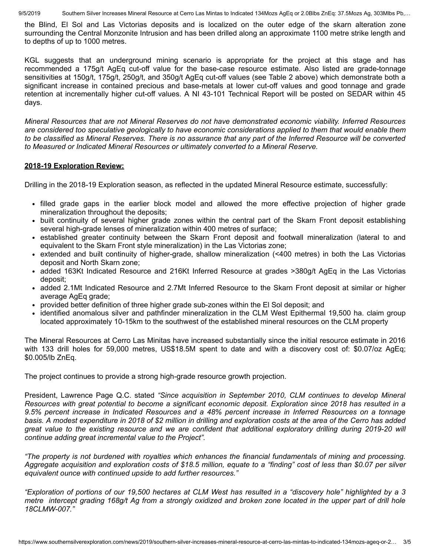9/5/2019 Southern Silver Increases Mineral Resource at Cerro Las Mintas to Indicated 134Mozs AgEq or 2.0Blbs ZnEq: 37.5Mozs Ag, 303Mlbs Pb....

the Blind, El Sol and Las Victorias deposits and is localized on the outer edge of the skarn alteration zone surrounding the Central Monzonite Intrusion and has been drilled along an approximate 1100 metre strike length and to depths of up to 1000 metres.

KGL suggests that an underground mining scenario is appropriate for the project at this stage and has recommended a 175g/t AgEq cut-off value for the base-case resource estimate. Also listed are grade-tonnage sensitivities at 150g/t, 175g/t, 250g/t, and 350g/t AgEq cut-off values (see Table 2 above) which demonstrate both a significant increase in contained precious and base-metals at lower cut-off values and good tonnage and grade retention at incrementally higher cut-off values. A NI 43-101 Technical Report will be posted on SEDAR within 45 days.

*Mineral Resources that are not Mineral Reserves do not have demonstrated economic viability. Inferred Resources are considered too speculative geologically to have economic considerations applied to them that would enable them to be classified as Mineral Reserves. There is no assurance that any part of the Inferred Resource will be converted to Measured or Indicated Mineral Resources or ultimately converted to a Mineral Reserve.*

## **2018-19 Exploration Review:**

Drilling in the 2018-19 Exploration season, as reflected in the updated Mineral Resource estimate, successfully:

- filled grade gaps in the earlier block model and allowed the more effective projection of higher grade mineralization throughout the deposits;
- built continuity of several higher grade zones within the central part of the Skarn Front deposit establishing several high-grade lenses of mineralization within 400 metres of surface;
- established greater continuity between the Skarn Front deposit and footwall mineralization (lateral to and equivalent to the Skarn Front style mineralization) in the Las Victorias zone;
- extended and built continuity of higher-grade, shallow mineralization (<400 metres) in both the Las Victorias deposit and North Skarn zone;
- added 163Kt Indicated Resource and 216Kt Inferred Resource at grades >380g/t AgEq in the Las Victorias deposit;
- added 2.1Mt Indicated Resource and 2.7Mt Inferred Resource to the Skarn Front deposit at similar or higher average AgEq grade;
- provided better definition of three higher grade sub-zones within the El Sol deposit; and
- identified anomalous silver and pathfinder mineralization in the CLM West Epithermal 19,500 ha. claim group located approximately 10-15km to the southwest of the established mineral resources on the CLM property

The Mineral Resources at Cerro Las Minitas have increased substantially since the initial resource estimate in 2016 with 133 drill holes for 59,000 metres, US\$18.5M spent to date and with a discovery cost of: \$0.07/oz AgEq; \$0.005/lb ZnEq.

The project continues to provide a strong high-grade resource growth projection.

President, Lawrence Page Q.C. stated *"Since acquisition in September 2010, CLM continues to develop Mineral Resources with great potential to become a significant economic deposit. Exploration since 2018 has resulted in a 9.5% percent increase in Indicated Resources and a 48% percent increase in Inferred Resources on a tonnage basis. A modest expenditure in 2018 of \$2 million in drilling and exploration costs at the area of the Cerro has added* great value to the existing resource and we are confident that additional exploratory drilling during 2019-20 will *continue adding great incremental value to the Project".*

*"The property is not burdened with royalties which enhances the financial fundamentals of mining and processing. Aggregate acquisition and exploration costs of \$18.5 million, equate to a "finding" cost of less than \$0.07 per silver equivalent ounce with continued upside to add further resources."*

*"Exploration of portions of our 19,500 hectares at CLM West has resulted in a "discovery hole" highlighted by a 3 metre intercept grading 168g/t Ag from a strongly oxidized and broken zone located in the upper part of drill hole 18CLMW-007."*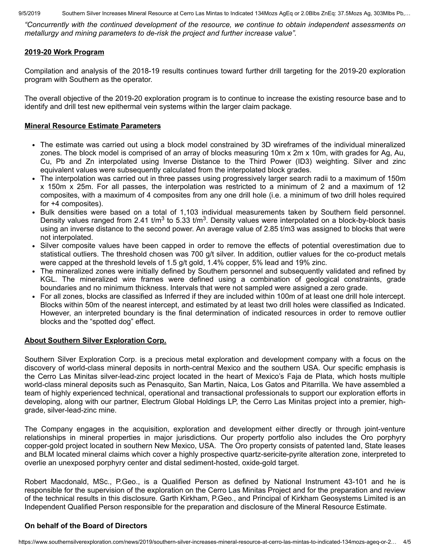9/5/2019 Southern Silver Increases Mineral Resource at Cerro Las Mintas to Indicated 134Mozs AgEq or 2.0Blbs ZnEq: 37.5Mozs Ag, 303Mlbs Pb....

*"Concurrently with the continued development of the resource, we continue to obtain independent assessments on metallurgy and mining parameters to de-risk the project and further increase value".*

## **2019-20 Work Program**

Compilation and analysis of the 2018-19 results continues toward further drill targeting for the 2019-20 exploration program with Southern as the operator.

The overall objective of the 2019-20 exploration program is to continue to increase the existing resource base and to identify and drill test new epithermal vein systems within the larger claim package.

## **Mineral Resource Estimate Parameters**

- The estimate was carried out using a block model constrained by 3D wireframes of the individual mineralized zones. The block model is comprised of an array of blocks measuring 10m x 2m x 10m, with grades for Ag, Au, Cu, Pb and Zn interpolated using Inverse Distance to the Third Power (ID3) weighting. Silver and zinc equivalent values were subsequently calculated from the interpolated block grades.
- The interpolation was carried out in three passes using progressively larger search radii to a maximum of 150m x 150m x 25m. For all passes, the interpolation was restricted to a minimum of 2 and a maximum of 12 composites, with a maximum of 4 composites from any one drill hole (i.e. a minimum of two drill holes required for +4 composites).
- Bulk densities were based on a total of 1,103 individual measurements taken by Southern field personnel. Density values ranged from 2.41 t/m<sup>3</sup> to 5.33 t/m<sup>3</sup>. Density values were interpolated on a block-by-block basis using an inverse distance to the second power. An average value of 2.85 t/m3 was assigned to blocks that were not interpolated.
- Silver composite values have been capped in order to remove the effects of potential overestimation due to statistical outliers. The threshold chosen was 700 g/t silver. In addition, outlier values for the co-product metals were capped at the threshold levels of 1.5 g/t gold, 1.4% copper, 5% lead and 19% zinc.
- The mineralized zones were initially defined by Southern personnel and subsequently validated and refined by KGL. The mineralized wire frames were defined using a combination of geological constraints, grade boundaries and no minimum thickness. Intervals that were not sampled were assigned a zero grade.
- For all zones, blocks are classified as Inferred if they are included within 100m of at least one drill hole intercept. Blocks within 50m of the nearest intercept, and estimated by at least two drill holes were classified as Indicated. However, an interpreted boundary is the final determination of indicated resources in order to remove outlier blocks and the "spotted dog" effect.

## **About Southern Silver Exploration Corp.**

Southern Silver Exploration Corp. is a precious metal exploration and development company with a focus on the discovery of world-class mineral deposits in north-central Mexico and the southern USA. Our specific emphasis is the Cerro Las Minitas silver-lead-zinc project located in the heart of Mexico's Faja de Plata, which hosts multiple world-class mineral deposits such as Penasquito, San Martin, Naica, Los Gatos and Pitarrilla. We have assembled a team of highly experienced technical, operational and transactional professionals to support our exploration efforts in developing, along with our partner, Electrum Global Holdings LP, the Cerro Las Minitas project into a premier, highgrade, silver-lead-zinc mine.

The Company engages in the acquisition, exploration and development either directly or through joint-venture relationships in mineral properties in major jurisdictions. Our property portfolio also includes the Oro porphyry copper-gold project located in southern New Mexico, USA. The Oro property consists of patented land, State leases and BLM located mineral claims which cover a highly prospective quartz-sericite-pyrite alteration zone, interpreted to overlie an unexposed porphyry center and distal sediment-hosted, oxide-gold target.

Robert Macdonald, MSc., P.Geo., is a Qualified Person as defined by National Instrument 43-101 and he is responsible for the supervision of the exploration on the Cerro Las Minitas Project and for the preparation and review of the technical results in this disclosure. Garth Kirkham, P.Geo., and Principal of Kirkham Geosystems Limited is an Independent Qualified Person responsible for the preparation and disclosure of the Mineral Resource Estimate.

## **On behalf of the Board of Directors**